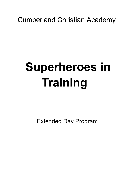# **Cumberland Christian Academy**

# **Superheroes in** Training

**Extended Day Program**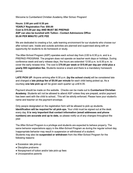Welcome to Cumberland Christian Academy After School Program!

Hours: 2:00 pm until 6:30 pm **YEARLY Registration Fee: \$50.00** Cost is \$15.00 per day AND MUST BE PREPAID ASP can also be bundled with Tuition - Contact Admissions Office \$5.00 PER MINUTE LATE FEE

We are dedicated to creating a fun, safe learning environment for our students who choose our after school care. Inside and outside activities are planned and supervised along with an opportunity for students to do homework or study.

The After-School Program (ASP) operates each school day from 2:00 to 6:30 p.m. and is a PREPAID PROGRAM. The program does not operate on teacher work days or holidays. During conference week and early release days, the hours are extended 12:00 p.m. to 6:30 p.m. to cover the early release time. The cost is \$70.00 per week or \$15.00 per day per child plus a yearly \$50 registration fee. Students receive a snack and there is a mandatory homework period.

LATE PICK UP: Anyone arriving after 6:30 p.m. (by the school clock) will be considered late and charged a late pickup fee of \$5.00 per minute for each child being picked up. As a courtesy one late pick up will be given each quarter up until 6:35.

Payment should be made on the website. Checks can be made out to Cumberland Christian Academy. Students will not be allowed to attend ASP unless they are prepaid, and/or payment has been sent with the child to school.. This will be strictly enforced. Please have your student's name and teacher on the payment envelope.

Only people designated on the registration form will be allowed to pick up students. Identification will be required for all pick-ups. Your child must be signed out at the desk every day. It is very important that contact information (email addresses and phone numbers) are accurate and up to date, so please notify us of any changes throughout the year.

The After-School Program is a privilege and students are expected to behave properly. The same behavior expectations apply in the After-School Program as during the regular school day. Inappropriate behavior may result in suspension or withdrawal of a student. Students may also be suspended or withdrawn from the After-School Program for the following reasons:

- Excessive late pick-up
- Discipline problems
- Nonpayment of tuition and/or late pick-up fees
- Uncooperative parents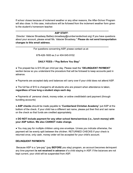If school closes because of inclement weather or any other reasons, the After-School Program will also close. In this case, instructions will be followed from the inclement weather form given to the student's homeroom teacher.

#### **ASP STAFF:**

Director: Valacier Broadway Battie(v.broadway@cumberlandschool.org) If you have questions about your account, please email Ms. Valacier Broadway \* Please do not send transportation changes to this email address.

For questions concerning ASP, please contact us at:

678-426-1600 ex.3 or 404-545-9102

#### DAILY FEES-"Pay Before You Stay"

• The prepaid fee is \$15.00 per child per day. Please read the "DELINQUENT PAYMENT" section below so you understand the procedure that will be followed to keep accounts paid in advance.

. Payments are accepted daily and balances will carry over if your child does not attend ASP.

• The full fee of \$15 is charged to all students who are present when attendance is taken, regardless of how long a student stays each day.

• Payments of personal check, money order, or online credit/debit card payment (through bundling accounts)

• ASP checks should be made payable to "Cumberland Christian Academy" put ASP at the bottom of the check. If your child has a different last name, please put their first and last name on the check so that funds are credited appropriately.

#### . DO NOT include payment for any other school items/services (i.e., lunch money) with your ASP tuition. We also CANNOT make change.

• You may pay for multiple children using one envelope. Unless you indicate otherwise, the payment will be evenly split between the children. RETURNED CHECKS If your check is returned once, only cash, money order will be accepted for your child's account.

#### **DELINQUENT PAYMENTS**

Because ASP is a "pre-pay" (pay BEFORE you stay) program, an account becomes delinquent any time payment is not received in advance of a child staying in ASP. If the balances are not kept current, your child will be suspended from ASP.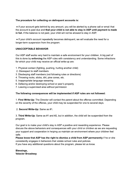# The procedure for collecting on delinquent accounts is:

• If your account gets behind by any amount, you will be alerted by a phone call or email that the account is past due and that your child is not able to stay in ASP until payment is made in full. If the balance is not paid, your child will not be allowed to stay in ASP.

• If your child's account repeatedly becomes delinguent, we will evaluate the need for a longer-term suspension from the program.

## **UNACCEPTABLE BEHAVIOR**

Our ASP staff works very hard to maintain a safe environment for your children. A big part of this is done by **enforcing** the ASP rules with consistency and understanding. Some infractions for which your child may receive an official write-up are:

- 1. Physical contact (fighting, pushing, hurting another child)
- 2. Disrespect to staff members
- 3. Disobeying staff members (not following rules or directions)
- 4. Throwing rocks, sticks, dirt, pine cones, etc.
- 5. Inappropriate language-swearing
- 6. Defacing and/or destroying school or peer's property
- 7. Leaving a supervised area without permission

## The following consequences will be implemented if ASP rules are not followed:

1. First Write-Up: The Director will contact the parent about the offense committed. Depending on the severity of the offense, your child may be suspended for one to several days.

2. Second Write-Up: Same as #1.

3. Third Write-Up: Same as #1 and #2, but in addition, the child will be suspended from the program.

Our goal is to make your child's stay in ASP a positive and rewarding experience. Please discuss the above behaviors and consequences with your child or children as we are requesting your support and cooperation in helping us maintain an environment where your children feel safe.

Please know that ASP has the right to dismiss a child from ASP permanently if he or she consistently engages in behaviors that violate school rules and policies.

If you have any additional questions about the program, please let us know.

Blessings, **Valacier Broadway**